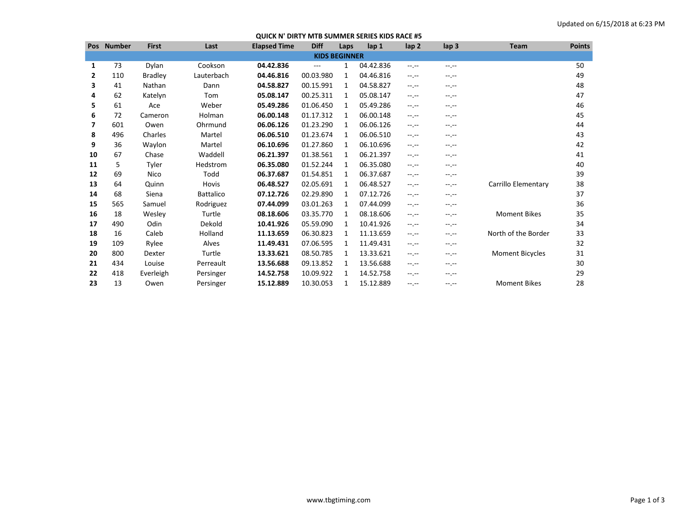## **QUICK N' DIRTY MTB SUMMER SERIES KIDS RACE #5**

| <b>Pos</b>           | <b>Number</b> | <b>First</b>   | Last             | <b>Elapsed Time</b> | <b>Diff</b> | Laps | lap 1     | lap <sub>2</sub> | lap <sub>3</sub> | <b>Team</b>            | <b>Points</b> |
|----------------------|---------------|----------------|------------------|---------------------|-------------|------|-----------|------------------|------------------|------------------------|---------------|
| <b>KIDS BEGINNER</b> |               |                |                  |                     |             |      |           |                  |                  |                        |               |
| 1                    | 73            | Dylan          | Cookson          | 04.42.836           | ---         | 1    | 04.42.836 | $-1$ .           | --.--            |                        | 50            |
| 2                    | 110           | <b>Bradley</b> | Lauterbach       | 04.46.816           | 00.03.980   | 1    | 04.46.816 | $-1$ .           | --.--            |                        | 49            |
| 3                    | 41            | Nathan         | Dann             | 04.58.827           | 00.15.991   | 1    | 04.58.827 | $-1$ .           | --.--            |                        | 48            |
| 4                    | 62            | Katelyn        | Tom              | 05.08.147           | 00.25.311   | 1    | 05.08.147 | $-1$ .           | --.--            |                        | 47            |
| 5                    | 61            | Ace            | Weber            | 05.49.286           | 01.06.450   | 1    | 05.49.286 | $-1$ .           | --.--            |                        | 46            |
| 6                    | 72            | Cameron        | Holman           | 06.00.148           | 01.17.312   | 1    | 06.00.148 | $-1$ .           | --.--            |                        | 45            |
| 7                    | 601           | Owen           | Ohrmund          | 06.06.126           | 01.23.290   | 1    | 06.06.126 | $-1$ .           | --.--            |                        | 44            |
| 8                    | 496           | Charles        | Martel           | 06.06.510           | 01.23.674   | 1    | 06.06.510 | $-1$ .           | --.--            |                        | 43            |
| 9                    | 36            | Waylon         | Martel           | 06.10.696           | 01.27.860   | 1    | 06.10.696 | $-1$ .           | --.--            |                        | 42            |
| 10                   | 67            | Chase          | Waddell          | 06.21.397           | 01.38.561   | 1    | 06.21.397 | $-1$ , $-1$      | --.--            |                        | 41            |
| 11                   | 5             | Tyler          | Hedstrom         | 06.35.080           | 01.52.244   | 1    | 06.35.080 | $-1$             | --.--            |                        | 40            |
| 12                   | 69            | Nico           | Todd             | 06.37.687           | 01.54.851   | 1    | 06.37.687 | $-1$ .           | --.--            |                        | 39            |
| 13                   | 64            | Quinn          | Hovis            | 06.48.527           | 02.05.691   | 1    | 06.48.527 | $-1$ .           | --.--            | Carrillo Elementary    | 38            |
| 14                   | 68            | Siena          | <b>Battalico</b> | 07.12.726           | 02.29.890   | 1    | 07.12.726 | $-1$ .           | --.--            |                        | 37            |
| 15                   | 565           | Samuel         | Rodriguez        | 07.44.099           | 03.01.263   | 1    | 07.44.099 | $-1 - 1 - 1 = 0$ | --.--            |                        | 36            |
| 16                   | 18            | Wesley         | Turtle           | 08.18.606           | 03.35.770   | 1    | 08.18.606 | $-1$ .           | --.--            | <b>Moment Bikes</b>    | 35            |
| 17                   | 490           | Odin           | Dekold           | 10.41.926           | 05.59.090   | 1    | 10.41.926 | $-1$ .           | --.--            |                        | 34            |
| 18                   | 16            | Caleb          | Holland          | 11.13.659           | 06.30.823   | 1    | 11.13.659 | $-1$ .           | --.--            | North of the Border    | 33            |
| 19                   | 109           | Rylee          | Alves            | 11.49.431           | 07.06.595   | 1    | 11.49.431 | $-1$ .           | --.--            |                        | 32            |
| 20                   | 800           | Dexter         | Turtle           | 13.33.621           | 08.50.785   | 1    | 13.33.621 | $-1$ .           | --.--            | <b>Moment Bicycles</b> | 31            |
| 21                   | 434           | Louise         | Perreault        | 13.56.688           | 09.13.852   | 1    | 13.56.688 | $-1$ .           | --.--            |                        | 30            |
| 22                   | 418           | Everleigh      | Persinger        | 14.52.758           | 10.09.922   | 1    | 14.52.758 | $-1$ , $-1$      | --.--            |                        | 29            |
| 23                   | 13            | Owen           | Persinger        | 15.12.889           | 10.30.053   | 1    | 15.12.889 | $-1$ , $-1$      | --.--            | <b>Moment Bikes</b>    | 28            |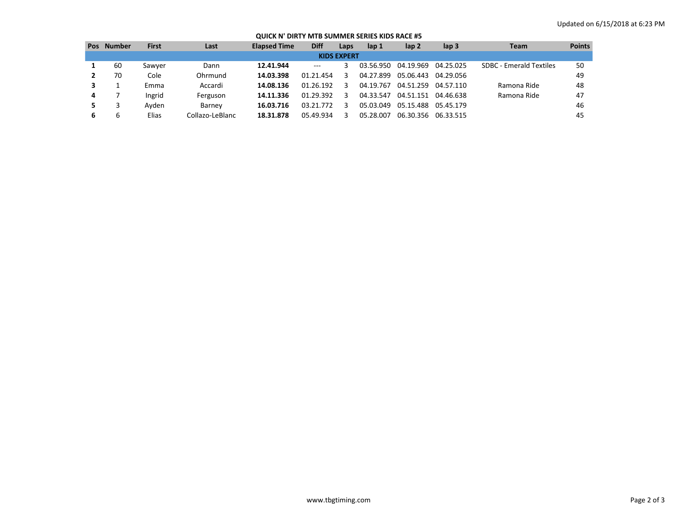## **QUICK N' DIRTY MTB SUMMER SERIES KIDS RACE #5**

| <b>Pos</b>         | Number | First  | Last            | <b>Elapsed Time</b> | <b>Diff</b> | Laps | lap 1     | lap <sub>2</sub> | $\mathsf{lap}$ 3 | <b>Team</b>             | <b>Points</b> |
|--------------------|--------|--------|-----------------|---------------------|-------------|------|-----------|------------------|------------------|-------------------------|---------------|
| <b>KIDS EXPERT</b> |        |        |                 |                     |             |      |           |                  |                  |                         |               |
|                    | 60     | Sawyer | Dann            | 12.41.944           | $---$       |      | 03.56.950 | 04.19.969        | 04.25.025        | SDBC - Emerald Textiles | 50            |
|                    | 70     | Cole   | Ohrmund         | 14.03.398           | 01.21.454   |      | 04.27.899 | 05.06.443        | 04.29.056        |                         | 49            |
|                    |        | Emma   | Accardi         | 14.08.136           | 01.26.192   |      | 04.19.767 | 04.51.259        | 04.57.110        | Ramona Ride             | 48            |
| 4                  |        | Ingrid | Ferguson        | 14.11.336           | 01.29.392   |      | 04.33.547 | 04.51.151        | 04.46.638        | Ramona Ride             | 47            |
|                    |        | Avden  | Barney          | 16.03.716           | 03.21.772   |      | 05.03.049 | 05.15.488        | 05.45.179        |                         | 46            |
| 6                  | h      | Elias  | Collazo-LeBlanc | 18.31.878           | 05.49.934   |      | 05.28.007 | 06.30.356        | 06.33.515        |                         | 45            |